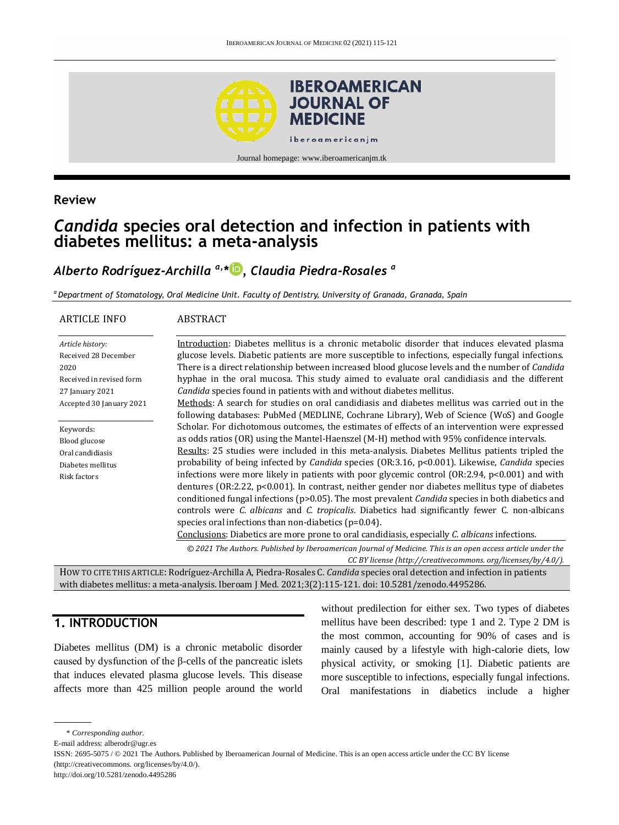

### **Review**

# *Candida* **species oral detection and infection in patients with diabetes mellitus: a meta-analysis**

# *Alberto Rodríguez-Archilla a,\* [,](http://orcid.org/0000-0003-1023-943X) Claudia Piedra-Rosales <sup>a</sup>*

*<sup>a</sup> Department of Stomatology, Oral Medicine Unit. Faculty of Dentistry, University of Granada, Granada, Spain* 

| <b>ARTICLE INFO</b>      | ABSTRACT                                                                                                                   |
|--------------------------|----------------------------------------------------------------------------------------------------------------------------|
| Article history:         | Introduction: Diabetes mellitus is a chronic metabolic disorder that induces elevated plasma                               |
| Received 28 December     | glucose levels. Diabetic patients are more susceptible to infections, especially fungal infections.                        |
| 2020                     | There is a direct relationship between increased blood glucose levels and the number of <i>Candida</i>                     |
| Received in revised form | hyphae in the oral mucosa. This study aimed to evaluate oral candidiasis and the different                                 |
| 27 January 2021          | Candida species found in patients with and without diabetes mellitus.                                                      |
| Accepted 30 January 2021 | Methods: A search for studies on oral candidiasis and diabetes mellitus was carried out in the                             |
|                          | following databases: PubMed (MEDLINE, Cochrane Library), Web of Science (WoS) and Google                                   |
| Keywords:                | Scholar. For dichotomous outcomes, the estimates of effects of an intervention were expressed                              |
| Blood glucose            | as odds ratios (OR) using the Mantel-Haenszel (M-H) method with 95% confidence intervals.                                  |
| Oral candidiasis         | Results: 25 studies were included in this meta-analysis. Diabetes Mellitus patients tripled the                            |
| Diabetes mellitus        | probability of being infected by <i>Candida</i> species (OR:3.16, p<0.001). Likewise, <i>Candida</i> species               |
| Risk factors             | infections were more likely in patients with poor glycemic control $(OR:2.94, p<0.001)$ and with                           |
|                          | dentures (OR:2.22, p<0.001). In contrast, neither gender nor diabetes mellitus type of diabetes                            |
|                          | conditioned fungal infections (p>0.05). The most prevalent <i>Candida</i> species in both diabetics and                    |
|                          | controls were <i>C. albicans</i> and <i>C. tropicalis</i> . Diabetics had significantly fewer <i>C.</i> non-albicans       |
|                          | species oral infections than non-diabetics ( $p=0.04$ ).                                                                   |
|                          | Conclusions: Diabetics are more prone to oral candidiasis, especially C. albicans infections.                              |
|                          | © 2021 The Authors. Published by Iberoamerican Journal of Medicine. This is an open access article under the               |
|                          | CC BY license (http://creativecommons.org/licenses/by/4.0/).                                                               |
|                          | HOW TO CITE THIS ARTICLE: Rodríguez-Archilla A, Piedra-Rosales C. Candida species oral detection and infection in patients |

with diabetes mellitus: a meta-analysis. Iberoam J Med. 2021;3(2):115-121. doi[: 10.5281/zenodo.4495286.](http://doi.org/10.5281/zenodo.4495286)

# **1. INTRODUCTION**

Diabetes mellitus (DM) is a chronic metabolic disorder caused by dysfunction of the β-cells of the pancreatic islets that induces elevated plasma glucose levels. This disease affects more than 425 million people around the world

without predilection for either sex. Two types of diabetes mellitus have been described: type 1 and 2. Type 2 DM is the most common, accounting for 90% of cases and is mainly caused by a lifestyle with high-calorie diets, low physical activity, or smoking [1]. Diabetic patients are more susceptible to infections, especially fungal infections. Oral manifestations in diabetics include a higher

<sup>\*</sup> *Corresponding author.*

E-mail address: alberodr@ugr.es

ISSN: 2695-5075 / © 2021 The Authors. Published by Iberoamerican Journal of Medicine. This is an open access article under the CC BY license (http://creativecommons. org/licenses/by/4.0/).

http://doi.org/10.5281/zenodo.4495286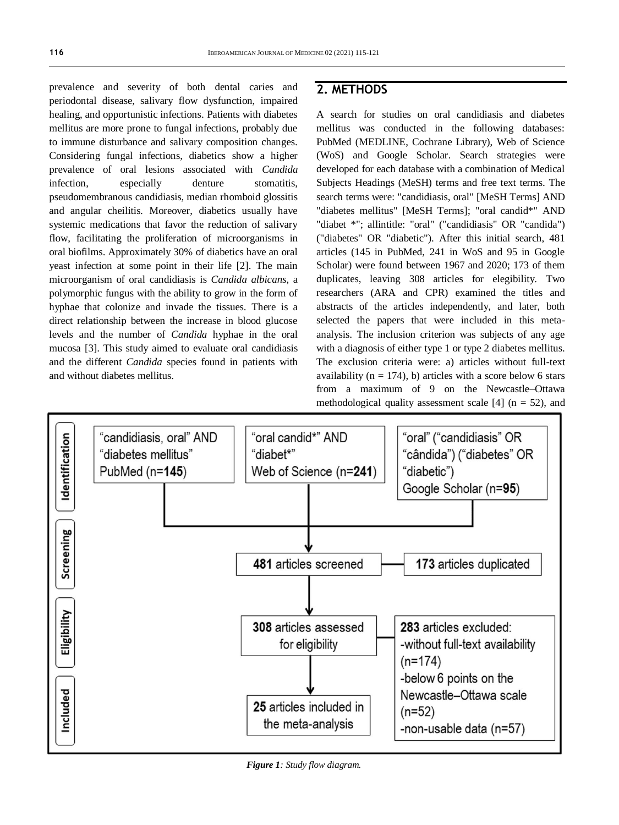prevalence and severity of both dental caries and periodontal disease, salivary flow dysfunction, impaired healing, and opportunistic infections. Patients with diabetes mellitus are more prone to fungal infections, probably due to immune disturbance and salivary composition changes. Considering fungal infections, diabetics show a higher prevalence of oral lesions associated with *Candida*  infection, especially denture stomatitis, pseudomembranous candidiasis, median rhomboid glossitis and angular cheilitis. Moreover, diabetics usually have systemic medications that favor the reduction of salivary flow, facilitating the proliferation of microorganisms in oral biofilms. Approximately 30% of diabetics have an oral yeast infection at some point in their life [2]. The main microorganism of oral candidiasis is *Candida albicans*, a polymorphic fungus with the ability to grow in the form of hyphae that colonize and invade the tissues. There is a direct relationship between the increase in blood glucose levels and the number of *Candida* hyphae in the oral mucosa [3]. This study aimed to evaluate oral candidiasis and the different *Candida* species found in patients with and without diabetes mellitus.

## **2. METHODS**

A search for studies on oral candidiasis and diabetes mellitus was conducted in the following databases: PubMed (MEDLINE, Cochrane Library), Web of Science (WoS) and Google Scholar. Search strategies were developed for each database with a combination of Medical Subjects Headings (MeSH) terms and free text terms. The search terms were: "candidiasis, oral" [MeSH Terms] AND "diabetes mellitus" [MeSH Terms]; "oral candid\*" AND "diabet \*"; allintitle: "oral" ("candidiasis" OR "candida") ("diabetes" OR "diabetic"). After this initial search, 481 articles (145 in PubMed, 241 in WoS and 95 in Google Scholar) were found between 1967 and 2020; 173 of them duplicates, leaving 308 articles for elegibility. Two researchers (ARA and CPR) examined the titles and abstracts of the articles independently, and later, both selected the papers that were included in this metaanalysis. The inclusion criterion was subjects of any age with a diagnosis of either type 1 or type 2 diabetes mellitus. The exclusion criteria were: a) articles without full-text availability ( $n = 174$ ), b) articles with a score below 6 stars from a maximum of 9 on the Newcastle–Ottawa methodological quality assessment scale [4] ( $n = 52$ ), and



*Figure 1: Study flow diagram.*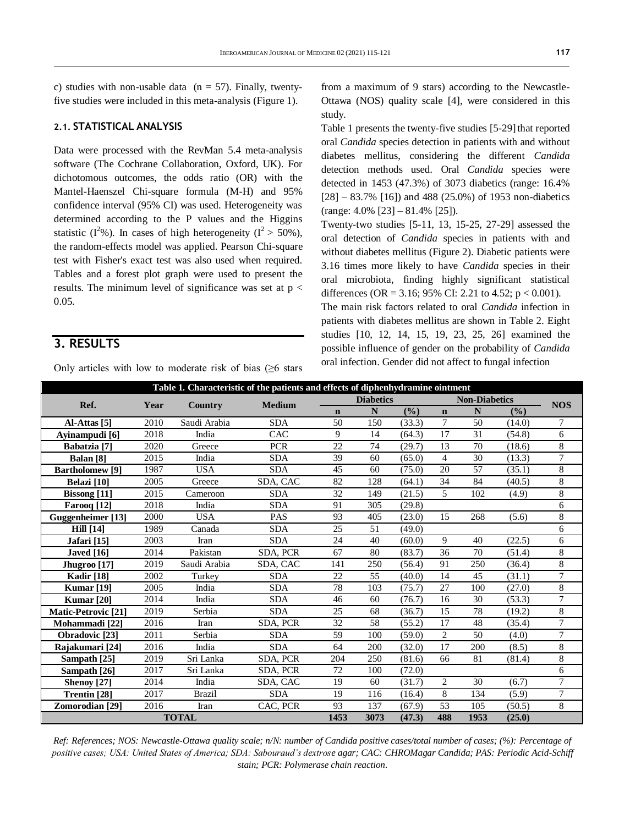c) studies with non-usable data ( $n = 57$ ). Finally, twentyfive studies were included in this meta-analysis (Figure 1).

#### **2.1. STATISTICAL ANALYSIS**

Data were processed with the RevMan 5.4 meta-analysis software (The Cochrane Collaboration, Oxford, UK). For dichotomous outcomes, the odds ratio (OR) with the Mantel-Haenszel Chi-square formula (M-H) and 95% confidence interval (95% CI) was used. Heterogeneity was determined according to the P values and the Higgins statistic ( $I^2\%$ ). In cases of high heterogeneity ( $I^2 > 50\%$ ), the random-effects model was applied. Pearson Chi-square test with Fisher's exact test was also used when required. Tables and a forest plot graph were used to present the results. The minimum level of significance was set at  $p <$ 0.05.

### **3. RESULTS**

Only articles with low to moderate risk of bias  $(≥6$  stars

from a maximum of 9 stars) according to the Newcastle-Ottawa (NOS) quality scale [4], were considered in this study.

Table 1 presents the twenty-five studies [5-29] that reported oral *Candida* species detection in patients with and without diabetes mellitus, considering the different *Candida* detection methods used. Oral *Candida* species were detected in 1453 (47.3%) of 3073 diabetics (range: 16.4%  $[28] - 83.7\%$  [16]) and 488 (25.0%) of 1953 non-diabetics (range: 4.0% [23] – 81.4% [25]).

Twenty-two studies [5-11, 13, 15-25, 27-29] assessed the oral detection of *Candida* species in patients with and without diabetes mellitus (Figure 2). Diabetic patients were 3.16 times more likely to have *Candida* species in their oral microbiota, finding highly significant statistical differences (OR = 3.16; 95% CI: 2.21 to 4.52;  $p < 0.001$ ).

The main risk factors related to oral *Candida* infection in patients with diabetes mellitus are shown in Table 2. Eight studies [10, 12, 14, 15, 19, 23, 25, 26] examined the possible influence of gender on the probability of *Candida* oral infection. Gender did not affect to fungal infection

| Table 1. Characteristic of the patients and effects of diphenhydramine ointment |                                  |               |                                                    |           |                  |        |                |                      |        |                |
|---------------------------------------------------------------------------------|----------------------------------|---------------|----------------------------------------------------|-----------|------------------|--------|----------------|----------------------|--------|----------------|
| Ref.                                                                            | <b>Medium</b><br>Year<br>Country |               |                                                    |           | <b>Diabetics</b> |        |                | <b>Non-Diabetics</b> |        |                |
|                                                                                 |                                  | $\mathbf n$   | N                                                  | (%)       | $\mathbf n$      | N      | (%)            | <b>NOS</b>           |        |                |
| Al-Attas <sup>[5]</sup>                                                         | 2010                             | Saudi Arabia  | <b>SDA</b>                                         | 50        | 150              | (33.3) | 7              | 50                   | (14.0) | $\tau$         |
| Ayinampudi [6]                                                                  | 2018                             | India         | CAC                                                | 9         | 14               | (64.3) | 17             | 31                   | (54.8) | 6              |
| Babatzia <sup>[7]</sup>                                                         | 2020                             | Greece        | <b>PCR</b>                                         | 22.       | 74               | (29.7) | 13             | 70                   | (18.6) | 8              |
| Balan <sup>[8]</sup>                                                            | 2015                             | India         | 39<br>$\overline{4}$<br><b>SDA</b><br>(65.0)<br>60 |           |                  | 30     | (13.3)         | $\overline{7}$       |        |                |
| <b>Bartholomew</b> [9]                                                          | 1987                             | <b>USA</b>    | <b>SDA</b>                                         | 45<br>60  |                  | (75.0) | 20             | 57                   | (35.1) | 8              |
| Belazi [10]                                                                     | 2005                             | Greece        | SDA, CAC                                           | 82        | 128              | (64.1) | 34             | 84                   | (40.5) | 8              |
| <b>Bissong</b> [11]                                                             | 2015                             | Cameroon      | <b>SDA</b>                                         | 32        | 149              | (21.5) | 5              | 102                  | (4.9)  | 8              |
| Farooq [12]                                                                     | 2018                             | India         | <b>SDA</b>                                         | 91        | 305              | (29.8) |                |                      |        | 6              |
| Guggenheimer [13]                                                               | 2000                             | <b>USA</b>    | <b>PAS</b>                                         | 93<br>405 |                  | (23.0) | 15             | 268                  | (5.6)  | 8              |
| <b>Hill</b> [14]                                                                | 1989                             | Canada        | <b>SDA</b>                                         | 25        | 51               | (49.0) |                |                      |        | 6              |
| Jafari [15]                                                                     | 2003                             | Iran          | <b>SDA</b>                                         | 24        | 40               | (60.0) | 9              | 40                   | (22.5) | 6              |
| <b>Javed</b> [16]                                                               | 2014                             | Pakistan      | SDA, PCR                                           | 67        | 80               | (83.7) | 36             | 70                   | (51.4) | 8              |
| Jhugroo [17]                                                                    | 2019                             | Saudi Arabia  | SDA. CAC                                           | 141       | 250              | (56.4) | 91             | 250                  | (36.4) | 8              |
| <b>Kadir</b> [18]                                                               | 2002                             | Turkey        | <b>SDA</b>                                         | 22        | 55               | (40.0) | 14             | 45                   | (31.1) | $\tau$         |
| <b>Kumar</b> [19]                                                               | 2005                             | India         | <b>SDA</b>                                         | 78        | 103              | (75.7) | 27             | 100                  | (27.0) | 8              |
| <b>Kumar</b> [20]                                                               | 2014                             | India         | <b>SDA</b>                                         | 46        | 60               | (76.7) | 16             | 30                   | (53.3) | $\tau$         |
| Matic-Petrovic [21]                                                             | 2019                             | Serbia        | <b>SDA</b>                                         | 25        | 68               | (36.7) | 15             | 78                   | (19.2) | 8              |
| Mohammadi [22]                                                                  | 2016                             | Iran          | SDA, PCR                                           | 32        | 58               | (55.2) | 17             | 48                   | (35.4) | $\overline{7}$ |
| Obradovic [23]                                                                  | 2011                             | Serbia        | <b>SDA</b>                                         | 59        | 100              | (59.0) | 2              | 50                   | (4.0)  | $\tau$         |
| Rajakumari [24]                                                                 | 2016                             | India         | <b>SDA</b>                                         | 64        | 200              | (32.0) | 17             | 200                  | (8.5)  | 8              |
| Sampath [25]                                                                    | 2019                             | Sri Lanka     | SDA, PCR                                           | 204       | 250              | (81.6) | 66             | 81                   | (81.4) | 8              |
| Sampath [26]                                                                    | 2017                             | Sri Lanka     | SDA, PCR                                           | 72        | 100              | (72.0) |                |                      |        | 6              |
| Shenoy [27]                                                                     | 2014                             | India         | SDA, CAC                                           | 19        | 60               | (31.7) | $\overline{2}$ | 30                   | (6.7)  | $\tau$         |
| Trentin <sup>[28]</sup>                                                         | 2017                             | <b>Brazil</b> | <b>SDA</b>                                         | 19        | 116              | (16.4) | 8              | 134                  | (5.9)  | $\overline{7}$ |
| Zomorodian [29]                                                                 | 2016                             | Iran          | CAC, PCR                                           | 93        | 137              | (67.9) | 53             | 105                  | (50.5) | 8              |
| <b>TOTAL</b>                                                                    |                                  |               |                                                    |           | 3073             | (47.3) | 488            | 1953                 | (25.0) |                |

*Ref: References; NOS: Newcastle-Ottawa quality scale; n/N: number of Candida positive cases/total number of cases; (%): Percentage of positive cases; USA: United States of America; SDA: Sabouraud's dextrose agar; CAC: CHROMagar Candida; PAS: Periodic Acid-Schiff stain; PCR: Polymerase chain reaction.*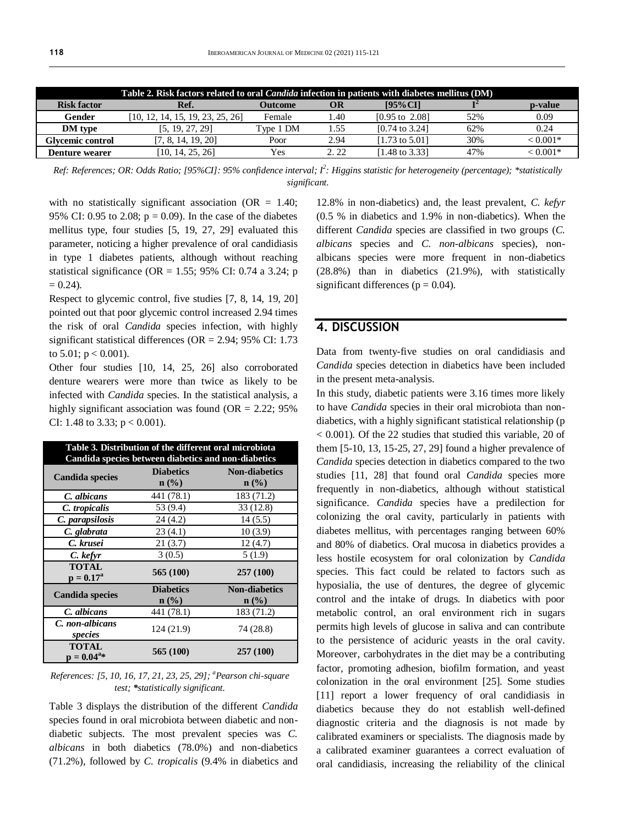| Table 2. Risk factors related to oral <i>Candida</i> infection in patients with diabetes mellitus (DM) |                                  |           |      |                           |     |            |
|--------------------------------------------------------------------------------------------------------|----------------------------------|-----------|------|---------------------------|-----|------------|
| <b>Risk factor</b>                                                                                     | Ref.                             | Outcome   | OR   | [95% CI]                  |     | p-value    |
| Gender                                                                                                 | [10, 12, 14, 15, 19, 23, 25, 26] | Female    | l.40 | $[0.95 \text{ to } 2.08]$ | 52% | 0.09       |
| <b>DM</b> type                                                                                         | [5, 19, 27, 29]                  | Type 1 DM | 1.55 | $[0.74 \text{ to } 3.24]$ | 62% | 0.24       |
| Glycemic control                                                                                       | [7, 8, 14, 19, 20]               | Poor      | 2.94 | [1.73 to $5.01$ ]         | 30% | $< 0.001*$ |
| Denture wearer                                                                                         | [10, 14, 25, 26]                 | Yes       | 2.22 | [1.48 to 3.33]            | 47% | $< 0.001*$ |

*Ref: References; OR: Odds Ratio; [95%CI]: 95% confidence interval; I<sup>2</sup> : Higgins statistic for heterogeneity (percentage); \*statistically significant.*

with no statistically significant association ( $OR = 1.40$ ; 95% CI: 0.95 to 2.08;  $p = 0.09$ ). In the case of the diabetes mellitus type, four studies [5, 19, 27, 29] evaluated this parameter, noticing a higher prevalence of oral candidiasis in type 1 diabetes patients, although without reaching statistical significance (OR = 1.55; 95% CI: 0.74 a 3.24; p  $= 0.24$ ).

Respect to glycemic control, five studies [7, 8, 14, 19, 20] pointed out that poor glycemic control increased 2.94 times the risk of oral *Candida* species infection, with highly significant statistical differences (OR = 2.94; 95% CI: 1.73 to  $5.01$ ;  $p < 0.001$ ).

Other four studies [10, 14, 25, 26] also corroborated denture wearers were more than twice as likely to be infected with *Candida* species. In the statistical analysis, a highly significant association was found (OR  $= 2.22$ ; 95% CI: 1.48 to 3.33;  $p < 0.001$ ).

| Table 3. Distribution of the different oral microbiota<br>Candida species between diabetics and non-diabetics |                                                 |                                 |  |  |  |  |
|---------------------------------------------------------------------------------------------------------------|-------------------------------------------------|---------------------------------|--|--|--|--|
| <b>Candida species</b>                                                                                        | <b>Diabetics</b><br>$n$ (%)                     | <b>Non-diabetics</b><br>$n$ (%) |  |  |  |  |
| C. albicans                                                                                                   | 441 (78.1)                                      | 183 (71.2)                      |  |  |  |  |
| C. tropicalis                                                                                                 | 53 (9.4)                                        | 33(12.8)                        |  |  |  |  |
| C. parapsilosis                                                                                               | 24(4.2)                                         | 14(5.5)                         |  |  |  |  |
| C. glabrata                                                                                                   | 23(4.1)                                         | 10(3.9)                         |  |  |  |  |
| C. krusei                                                                                                     | 21(3.7)                                         | 12(4.7)                         |  |  |  |  |
| C. kefyr                                                                                                      | 3(0.5)                                          | 5(1.9)                          |  |  |  |  |
| <b>TOTAL</b><br>$p = 0.17^a$                                                                                  | 565 (100)                                       | 257 (100)                       |  |  |  |  |
| <b>Candida species</b>                                                                                        | <b>Diabetics</b><br>$n\left(\frac{0}{0}\right)$ | <b>Non-diabetics</b><br>$n$ (%) |  |  |  |  |
| C. albicans                                                                                                   | 441 (78.1)                                      | 183 (71.2)                      |  |  |  |  |
| C. non-albicans<br>species                                                                                    | 124 (21.9)                                      | 74 (28.8)                       |  |  |  |  |
| <b>TOTAL</b><br>$p = 0.04^{a*}$                                                                               | 565 (100)                                       | 257 (100)                       |  |  |  |  |

*References: [5, 10, 16, 17, 21, 23, 25, 29]; <sup>a</sup>Pearson chi-square test; \*statistically significant.*

Table 3 displays the distribution of the different *Candida* species found in oral microbiota between diabetic and nondiabetic subjects. The most prevalent species was *C. albicans* in both diabetics (78.0%) and non-diabetics (71.2%), followed by *C. tropicalis* (9.4% in diabetics and

12.8% in non-diabetics) and, the least prevalent, *C. kefyr* (0.5 % in diabetics and 1.9% in non-diabetics). When the different *Candida* species are classified in two groups (*C. albicans* species and *C. non-albicans* species), nonalbicans species were more frequent in non-diabetics (28.8%) than in diabetics (21.9%), with statistically significant differences ( $p = 0.04$ ).

#### **4. DISCUSSION**

Data from twenty-five studies on oral candidiasis and *Candida* species detection in diabetics have been included in the present meta-analysis.

In this study, diabetic patients were 3.16 times more likely to have *Candida* species in their oral microbiota than nondiabetics, with a highly significant statistical relationship (p < 0.001). Of the 22 studies that studied this variable, 20 of them [5-10, 13, 15-25, 27, 29] found a higher prevalence of *Candida* species detection in diabetics compared to the two studies [11, 28] that found oral *Candida* species more frequently in non-diabetics, although without statistical significance. *Candida* species have a predilection for colonizing the oral cavity, particularly in patients with diabetes mellitus, with percentages ranging between 60% and 80% of diabetics. Oral mucosa in diabetics provides a less hostile ecosystem for oral colonization by *Candida* species. This fact could be related to factors such as hyposialia, the use of dentures, the degree of glycemic control and the intake of drugs. In diabetics with poor metabolic control, an oral environment rich in sugars permits high levels of glucose in saliva and can contribute to the persistence of aciduric yeasts in the oral cavity. Moreover, carbohydrates in the diet may be a contributing factor, promoting adhesion, biofilm formation, and yeast colonization in the oral environment [25]. Some studies [11] report a lower frequency of oral candidiasis in diabetics because they do not establish well-defined diagnostic criteria and the diagnosis is not made by calibrated examiners or specialists. The diagnosis made by a calibrated examiner guarantees a correct evaluation of oral candidiasis, increasing the reliability of the clinical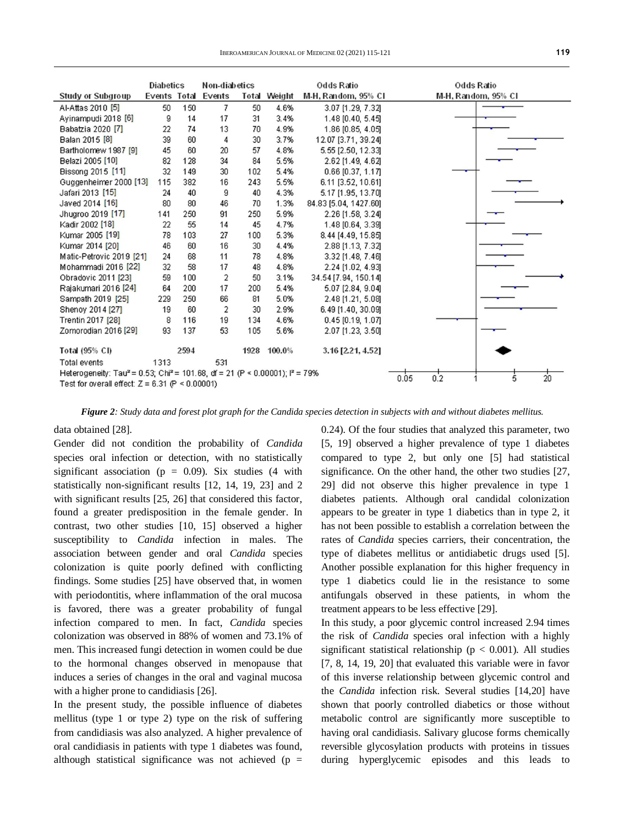|                                                                                                      | <b>Diabetics</b> |      | Non-diabetics              |       | Odds Ratio  |                                     | <b>Odds Ratio</b>   |
|------------------------------------------------------------------------------------------------------|------------------|------|----------------------------|-------|-------------|-------------------------------------|---------------------|
| <b>Study or Subgroup</b>                                                                             |                  |      | <b>Events Total Events</b> | Total | Weight      | M-H, Random, 95% CI                 | M-H, Random, 95% CI |
| Al-Attas 2010 [5]                                                                                    | 50               | 150  | 7                          | 50    | 4.6%        | 3.07 [1.29, 7.32]                   |                     |
| Ayinampudi 2018 [6]                                                                                  | 9                | 14   | 17                         | 31    | 3.4%        | 1.48 [0.40, 5.45]                   |                     |
| Babatzia 2020 [7]                                                                                    | 22               | 74   | 13                         | 70    | 4.9%        | 1.86 [0.85, 4.05]                   |                     |
| Balan 2015 [8]                                                                                       | 39               | 60   | 4                          | 30    | 3.7%        | 12.07 [3.71, 39.24]                 |                     |
| Bartholomew 1987 [9]                                                                                 | 45               | 60   | 20                         | 57    | 4.8%        | 5.55 [2.50, 12.33]                  |                     |
| Belazi 2005 [10]                                                                                     | 82               | 128  | 34                         | 84    | 5.5%        | 2.62 [1.49, 4.62]                   |                     |
| Bissong 2015 [11]                                                                                    | 32               | 149  | 30                         | 102   | 5.4%        | $0.66$ [0.37, 1.17]                 |                     |
| Guggenheimer 2000 [13]                                                                               | 115              | 382  | 16                         | 243   | 5.5%        | 6.11 [3.52, 10.61]                  |                     |
| Jafari 2013 [15]                                                                                     | 24               | 40   | 9                          | 40    | 4.3%        | 5.17 [1.95, 13.70]                  |                     |
| Javed 2014 [16]                                                                                      | 80               | 80   | 46                         | 70    | 1.3%        | 84.83 [5.04, 1427.60]               |                     |
| Jhugroo 2019 [17]                                                                                    | 141              | 250  | 91                         | 250   | 5.9%        | 2.26 [1.58, 3.24]                   |                     |
| Kadir 2002 [18]                                                                                      | 22               | 55   | 14                         | 45    | 4.7%        | 1.48 [0.64, 3.39]                   |                     |
| Kumar 2005 [19]                                                                                      | 78               | 103  | 27                         | 100   | 5.3%        | 8.44 [4.49, 15.85]                  |                     |
| Kumar 2014 [20]                                                                                      | 46               | 60   | 16                         | 30    | 4.4%        | 2.88 [1.13, 7.32]                   |                     |
| Matic-Petrovic 2019 [21]                                                                             | 24               | 68   | 11                         | 78    | 4.8%        | 3.32 [1.48, 7.46]                   |                     |
| Mohammadi 2016 [22]                                                                                  | 32               | 58   | 17                         | 48    | 4.8%        | 2.24 [1.02, 4.93]                   |                     |
| Obradovic 2011 [23]                                                                                  | 59               | 100  | 2                          | 50    | 3.1%        | 34.54 [7.94, 150.14]                |                     |
| Rajakumari 2016 [24]                                                                                 | 64               | 200  | 17                         | 200   | 5.4%        | 5.07 [2.84, 9.04]                   |                     |
| Sampath 2019 [25]                                                                                    | 229              | 250  | 66                         | 81    | 5.0%        | 2.48 [1.21, 5.08]                   |                     |
| Shenoy 2014 [27]                                                                                     | 19               | 60   | 2                          | 30    | 2.9%        | 6.49 [1.40, 30.09]                  |                     |
| Trentin 2017 [28]                                                                                    | 8                | 116  | 19                         | 134   | 4.6%        | $0.45$ [0.19, 1.07]                 |                     |
| Zomorodian 2016 [29]                                                                                 | 93               | 137  | 53                         | 105   | 5.6%        | 2.07 [1.23, 3.50]                   |                     |
| <b>Total (95% CI)</b>                                                                                |                  | 2594 |                            |       | 1928 100.0% | 3.16 [2.21, 4.52]                   |                     |
| Total events                                                                                         | 1313             |      | 531                        |       |             |                                     |                     |
| Heterogeneity: Tau <sup>2</sup> = 0.53; Chi <sup>2</sup> = 101.68, df = 21 (P < 0.00001); $P = 79\%$ |                  |      |                            |       |             | $\overline{20}$<br>0.2<br>0.05<br>5 |                     |
| Test for overall effect: $Z = 6.31$ (P < 0.00001)                                                    |                  |      |                            |       |             |                                     |                     |

*Figure 2: Study data and forest plot graph for the Candida species detection in subjects with and without diabetes mellitus.*

data obtained [28].

Gender did not condition the probability of *Candida* species oral infection or detection, with no statistically significant association ( $p = 0.09$ ). Six studies (4 with statistically non-significant results [12, 14, 19, 23] and 2 with significant results [25, 26] that considered this factor, found a greater predisposition in the female gender. In contrast, two other studies [10, 15] observed a higher susceptibility to *Candida* infection in males. The association between gender and oral *Candida* species colonization is quite poorly defined with conflicting findings. Some studies [25] have observed that, in women with periodontitis, where inflammation of the oral mucosa is favored, there was a greater probability of fungal infection compared to men. In fact, *Candida* species colonization was observed in 88% of women and 73.1% of men. This increased fungi detection in women could be due to the hormonal changes observed in menopause that induces a series of changes in the oral and vaginal mucosa with a higher prone to candidiasis [26].

In the present study, the possible influence of diabetes mellitus (type 1 or type 2) type on the risk of suffering from candidiasis was also analyzed. A higher prevalence of oral candidiasis in patients with type 1 diabetes was found, although statistical significance was not achieved ( $p =$  0.24). Of the four studies that analyzed this parameter, two [5, 19] observed a higher prevalence of type 1 diabetes compared to type 2, but only one [5] had statistical significance. On the other hand, the other two studies [27, 29] did not observe this higher prevalence in type 1 diabetes patients. Although oral candidal colonization appears to be greater in type 1 diabetics than in type 2, it has not been possible to establish a correlation between the rates of *Candida* species carriers, their concentration, the type of diabetes mellitus or antidiabetic drugs used [5]. Another possible explanation for this higher frequency in type 1 diabetics could lie in the resistance to some antifungals observed in these patients, in whom the treatment appears to be less effective [29].

In this study, a poor glycemic control increased 2.94 times the risk of *Candida* species oral infection with a highly significant statistical relationship ( $p < 0.001$ ). All studies [7, 8, 14, 19, 20] that evaluated this variable were in favor of this inverse relationship between glycemic control and the *Candida* infection risk. Several studies [14,20] have shown that poorly controlled diabetics or those without metabolic control are significantly more susceptible to having oral candidiasis. Salivary glucose forms chemically reversible glycosylation products with proteins in tissues during hyperglycemic episodes and this leads to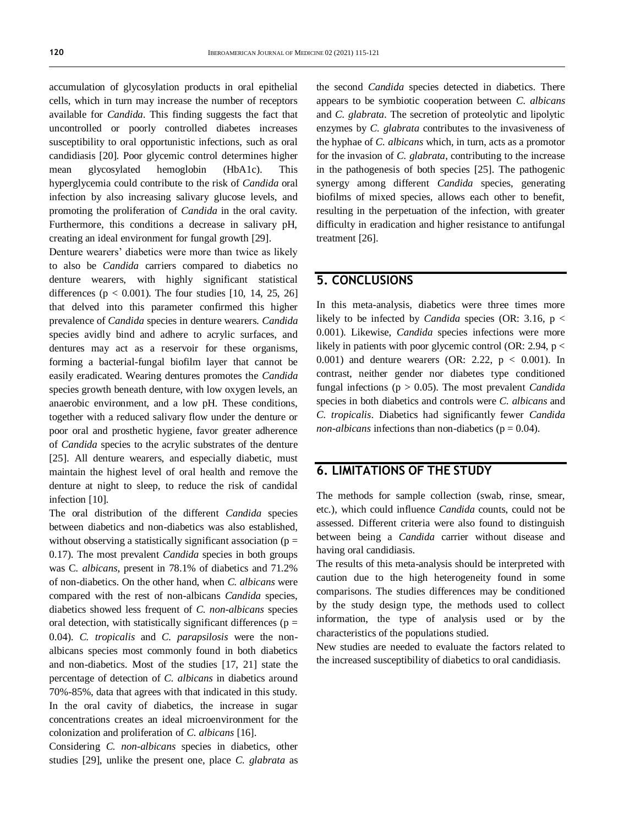accumulation of glycosylation products in oral epithelial cells, which in turn may increase the number of receptors available for *Candida*. This finding suggests the fact that uncontrolled or poorly controlled diabetes increases susceptibility to oral opportunistic infections, such as oral candidiasis [20]. Poor glycemic control determines higher mean glycosylated hemoglobin (HbA1c). This hyperglycemia could contribute to the risk of *Candida* oral infection by also increasing salivary glucose levels, and promoting the proliferation of *Candida* in the oral cavity. Furthermore, this conditions a decrease in salivary pH, creating an ideal environment for fungal growth [29].

Denture wearers' diabetics were more than twice as likely to also be *Candida* carriers compared to diabetics no denture wearers, with highly significant statistical differences ( $p < 0.001$ ). The four studies [10, 14, 25, 26] that delved into this parameter confirmed this higher prevalence of *Candida* species in denture wearers. *Candida* species avidly bind and adhere to acrylic surfaces, and dentures may act as a reservoir for these organisms, forming a bacterial-fungal biofilm layer that cannot be easily eradicated. Wearing dentures promotes the *Candida* species growth beneath denture, with low oxygen levels, an anaerobic environment, and a low pH. These conditions, together with a reduced salivary flow under the denture or poor oral and prosthetic hygiene, favor greater adherence of *Candida* species to the acrylic substrates of the denture [25]. All denture wearers, and especially diabetic, must maintain the highest level of oral health and remove the denture at night to sleep, to reduce the risk of candidal infection [10].

The oral distribution of the different *Candida* species between diabetics and non-diabetics was also established, without observing a statistically significant association ( $p =$ 0.17). The most prevalent *Candida* species in both groups was C*. albicans*, present in 78.1% of diabetics and 71.2% of non-diabetics. On the other hand, when *C. albicans* were compared with the rest of non-albicans *Candida* species, diabetics showed less frequent of *C. non-albicans* species oral detection, with statistically significant differences ( $p =$ 0.04). *C. tropicalis* and *C. parapsilosis* were the nonalbicans species most commonly found in both diabetics and non-diabetics. Most of the studies [17, 21] state the percentage of detection of *C. albicans* in diabetics around 70%-85%, data that agrees with that indicated in this study. In the oral cavity of diabetics, the increase in sugar concentrations creates an ideal microenvironment for the colonization and proliferation of *C. albicans* [16].

Considering *C. non-albicans* species in diabetics, other studies [29], unlike the present one, place *C. glabrata* as the second *Candida* species detected in diabetics. There appears to be symbiotic cooperation between *C. albicans* and *C. glabrata*. The secretion of proteolytic and lipolytic enzymes by *C. glabrata* contributes to the invasiveness of the hyphae of *C. albicans* which, in turn, acts as a promotor for the invasion of *C. glabrata*, contributing to the increase in the pathogenesis of both species [25]. The pathogenic synergy among different *Candida* species, generating biofilms of mixed species, allows each other to benefit, resulting in the perpetuation of the infection, with greater difficulty in eradication and higher resistance to antifungal treatment [26].

#### **5. CONCLUSIONS**

In this meta-analysis, diabetics were three times more likely to be infected by *Candida* species (OR: 3.16, p < 0.001). Likewise, *Candida* species infections were more likely in patients with poor glycemic control (OR: 2.94,  $p <$ 0.001) and denture wearers (OR: 2.22,  $p < 0.001$ ). In contrast, neither gender nor diabetes type conditioned fungal infections (p > 0.05). The most prevalent *Candida* species in both diabetics and controls were *C. albicans* and *C. tropicalis*. Diabetics had significantly fewer *Candida non-albicans* infections than non-diabetics ( $p = 0.04$ ).

#### **6. LIMITATIONS OF THE STUDY**

The methods for sample collection (swab, rinse, smear, etc.), which could influence *Candida* counts, could not be assessed. Different criteria were also found to distinguish between being a *Candida* carrier without disease and having oral candidiasis.

The results of this meta-analysis should be interpreted with caution due to the high heterogeneity found in some comparisons. The studies differences may be conditioned by the study design type, the methods used to collect information, the type of analysis used or by the characteristics of the populations studied.

New studies are needed to evaluate the factors related to the increased susceptibility of diabetics to oral candidiasis.